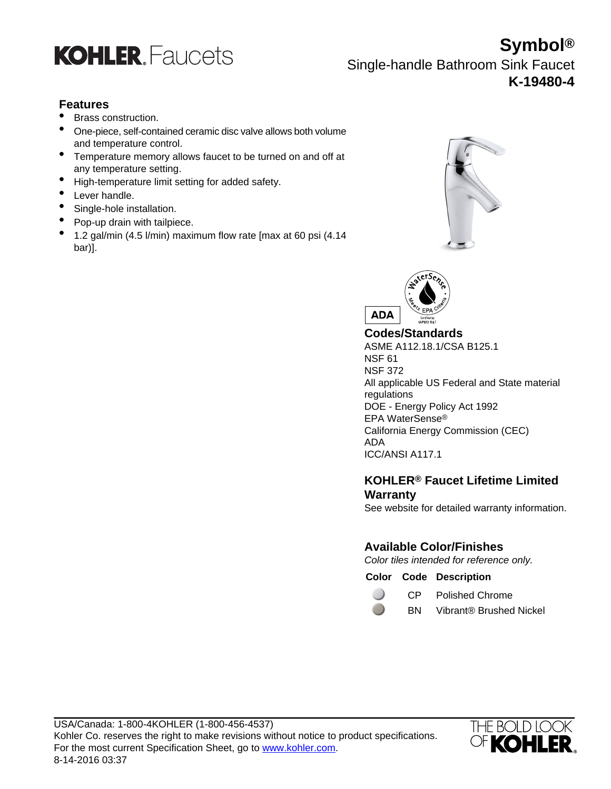

**Symbol®** Single-handle Bathroom Sink Faucet **K-19480-4**

# **Features**

- Brass construction.
- One-piece, self-contained ceramic disc valve allows both volume and temperature control.
- Temperature memory allows faucet to be turned on and off at any temperature setting.
- High-temperature limit setting for added safety.
- Lever handle.
- Single-hole installation.
- Pop-up drain with tailpiece.
- 1.2 gal/min (4.5 l/min) maximum flow rate [max at 60 psi (4.14 bar)].





**Codes/Standards**

ASME A112.18.1/CSA B125.1 NSF 61 NSF 372 All applicable US Federal and State material regulations DOE - Energy Policy Act 1992 EPA WaterSense® California Energy Commission (CEC) ADA ICC/ANSI A117.1

## **KOHLER® Faucet Lifetime Limited Warranty**

See website for detailed warranty information.

# **Available Color/Finishes**

Color tiles intended for reference only.

**Color Code Description**

 $\Box$ 

CP Polished Chrome

BN Vibrant® Brushed Nickel